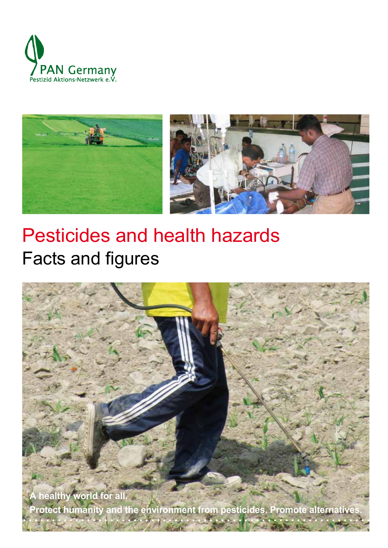



# Pesticides and health hazards Facts and figures

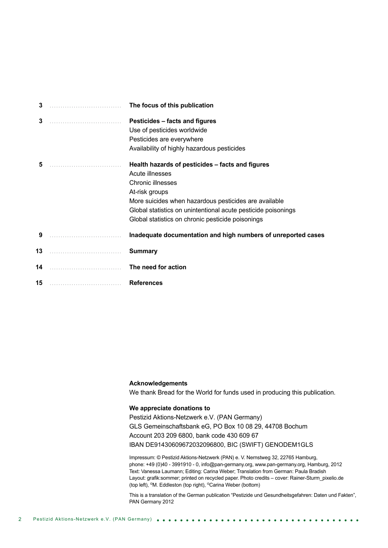| 3  |                   | The focus of this publication                                                                                                                                                                                                                                                             |
|----|-------------------|-------------------------------------------------------------------------------------------------------------------------------------------------------------------------------------------------------------------------------------------------------------------------------------------|
| 3  |                   | Pesticides - facts and figures<br>Use of pesticides worldwide<br>Pesticides are everywhere<br>Availability of highly hazardous pesticides                                                                                                                                                 |
| 5  |                   | Health hazards of pesticides – facts and figures<br>Acute illnesses<br>Chronic illnesses<br>At-risk groups<br>More suicides when hazardous pesticides are available<br>Global statistics on unintentional acute pesticide poisonings<br>Global statistics on chronic pesticide poisonings |
|    | $9 \qquad \qquad$ | Inadequate documentation and high numbers of unreported cases                                                                                                                                                                                                                             |
| 13 |                   | <b>Summary</b>                                                                                                                                                                                                                                                                            |
| 14 |                   | The need for action                                                                                                                                                                                                                                                                       |
| 15 |                   | <b>References</b>                                                                                                                                                                                                                                                                         |

#### **Acknowledgements**

We thank Bread for the World for funds used in producing this publication.

#### **We appreciate donations to**

Pestizid Aktions-Netzwerk e.V. (PAN Germany) GLS Gemeinschaftsbank eG, PO Box 10 08 29, 44708 Bochum Account 203 209 6800, bank code 430 609 67 IBAN DE91430609672032096800, BIC (SWIFT) GENODEM1GLS

Impressum: © Pestizid Aktions-Netzwerk (PAN) e. V. Nernstweg 32, 22765 Hamburg, phone: +49 (0)40 - 3991910 - 0, info@pan-germany.org, www.pan-germany.org, Hamburg, 2012 Text: Vanessa Laumann; Editing: Carina Weber; Translation from German: Paula Bradish Layout: grafik:sommer; printed on recycled paper. Photo credits – cover: Rainer-Sturm\_pixelio.de (top left), ©M. Eddleston (top right), ©Carina Weber (bottom)

This is a translation of the German publication "Pestizide und Gesundheitsgefahren: Daten und Fakten", PAN Germany 2012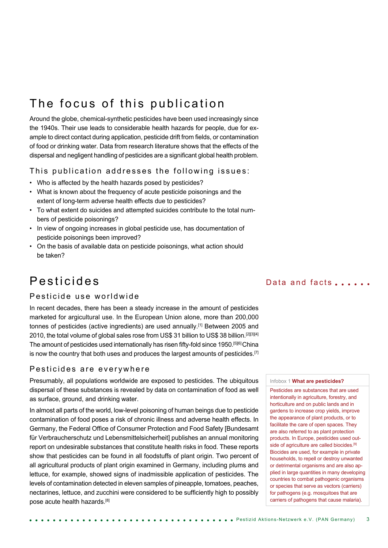# The focus of this publication

Around the globe, chemical-synthetic pesticides have been used increasingly since the 1940s. Their use leads to considerable health hazards for people, due for example to direct contact during application, pesticide drift from fields, or contamination of food or drinking water. Data from research literature shows that the effects of the dispersal and negligent handling of pesticides are a significant global health problem.

#### This publication addresses the following issues:

- Who is affected by the health hazards posed by pesticides?
- What is known about the frequency of acute pesticide poisonings and the extent of long-term adverse health effects due to pesticides?
- To what extent do suicides and attempted suicides contribute to the total numbers of pesticide poisonings?
- In view of ongoing increases in global pesticide use, has documentation of pesticide poisonings been improved?
- On the basis of available data on pesticide poisonings, what action should be taken?

# Pesticides

### Pesticide use worldwide

In recent decades, there has been a steady increase in the amount of pesticides marketed for argicultural use. In the European Union alone, more than 200,000 tonnes of pesticides (active ingredients) are used annually.[1] Between 2005 and 2010, the total volume of global sales rose from US\$ 31 billion to US\$ 38 billion.<sup>[2][3][4]</sup> The amount of pesticides used internationally has risen fifty-fold since 1950.[5][6] China is now the country that both uses and produces the largest amounts of pesticides.<sup>[7]</sup>

#### Pesticides are everywhere

Presumably, all populations worldwide are exposed to pesticides. The ubiquitous dispersal of these substances is revealed by data on contamination of food as well as surface, ground, and drinking water.

In almost all parts of the world, low-level poisoning of human beings due to pesticide contamination of food poses a risk of chronic illness and adverse health effects. In Germany, the Federal Office of Consumer Protection and Food Safety [Bundesamt für Verbraucherschutz und Lebensmittelsicherheit] publishes an annual monitoring report on undesirable substances that constitute health risks in food. These reports show that pesticides can be found in all foodstuffs of plant origin. Two percent of all agricultural products of plant origin examined in Germany, including plums and lettuce, for example, showed signs of inadmissible application of pesticides. The levels of contamination detected in eleven samples of pineapple, tomatoes, peaches, nectarines, lettuce, and zucchini were considered to be sufficiently high to possibly pose acute health hazards.[8]

### Data and facts  $\ldots$

#### Infobox 1 **What are pesticides?**

Pesticides are substances that are used intentionally in agriculture, forestry, and horticulture and on public lands and in gardens to increase crop yields, improve the appearance of plant products, or to facilitate the care of open spaces. They are also referred to as plant protection products. In Europe, pesticides used outside of agriculture are called biocides.<sup>[9]</sup> Biocides are used, for example in private households, to repell or destroy unwanted or detrimental organisms and are also applied in large quantities in many developing countries to combat pathogenic organisms or species that serve as vectors (carriers) for pathogens (e.g. mosquitoes that are carriers of pathogens that cause malaria).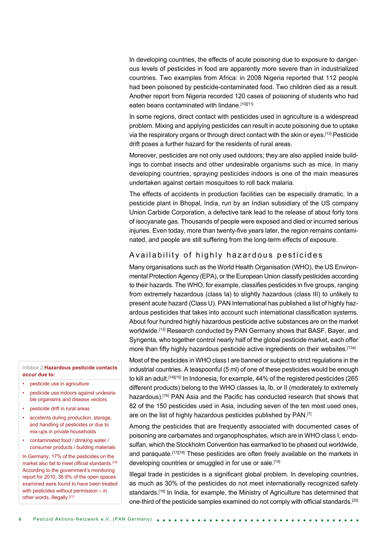In developing countries, the effects of acute poisoning due to exposure to dangerous levels of pesticides in food are apparently more severe than in industrialized countries. Two examples from Africa: in 2008 Nigeria reported that 112 people had been poisoned by pesticide-contaminated food. Two children died as a result. Another report from Nigeria recorded 120 cases of poisoning of students who had eaten beans contaminated with lindane.<sup>[10][11]</sup>

In some regions, direct contact with pesticides used in agriculture is a widespread problem. Mixing and applying pesticides can result in acute poisoning due to uptake via the respiratory organs or through direct contact with the skin or eyes.[12] Pesticide drift poses a further hazard for the residents of rural areas.

Moreover, pesticides are not only used outdoors; they are also applied inside buildings to combat insects and other undesirable organisms such as mice. In many developing countries, spraying pesticides indoors is one of the main measures undertaken against certain mosquitoes to roll back malaria.

The effects of accidents in production facilities can be especially dramatic. In a pesticide plant in Bhopal, India, run by an Indian subsidiary of the US company Union Carbide Corporation, a defective tank lead to the release of about forty tons of isocyanate gas. Thousands of people were exposed and died or incurred serious injuries. Even today, more than twenty-five years later, the region remains contaminated, and people are still suffering from the long-term effects of exposure.

### Availability of highly hazardous pesticides

Many organisations such as the World Health Organisation (WHO), the US Environmental Protection Agency (EPA), or the European Union classify pesticides according to their hazards. The WHO, for example, classifies pesticides in five groups, ranging from extremely hazardous (class Ia) to slightly hazardous (class III) to unlikely to present acute hazard (Class U). PAN International has published a list of highly hazardous pesticides that takes into account such international classification systems. About four hundred highly hazardous pesticide active substances are on the market worldwide.<sup>[13]</sup> Research conducted by PAN Germany shows that BASF, Bayer, and Syngenta, who together control nearly half of the global pesticide market, each offer more than fifty highly hazardous pesticide active ingredients on their websites.<sup>[13a]</sup>

Most of the pesticides in WHO class I are banned or subject to strict regulations in the industrial countries. A teaspoonful (5 ml) of one of these pesticides would be enough to kill an adult.[14][15] In Indonesia, for example, 44% of the registered pesticides (265 different products) belong to the WHO classes Ia, Ib, or II (moderately to extremely hazardous).[16] PAN Asia and the Pacific has conducted research that shows that 82 of the 150 pesticides used in Asia, including seven of the ten most used ones, are on the list of highly hazardous pesticides published by PAN.[7]

Among the pesticides that are frequently associated with documented cases of poisoning are carbamates and organophosphates, which are in WHO class I, endosulfan, which the Stockholm Convention has earmarked to be phased out worldwide, and paraquate.<sup>[17][18]</sup> These pesticides are often freely available on the markets in developing countries or smuggled in for use or sale.<sup>[19]</sup>

Illegal trade in pesticides is a significant global problem. In developing countries, as much as 30% of the pesticides do not meet internationally recognized safety standards.<sup>[19]</sup> In India, for example, the Ministry of Agriculture has determined that one-third of the pesticide samples examined do not comply with official standards.[20]

#### Infobox 2 **Hazardous pesticide contacts occur due to:**

- pesticide use in agriculture
- pesticide use indoors against undesirable organisms and disease vectors
- pesticide drift in rural areas
- accidents during production, storage, and handling of pesticides or due to mix-ups in private households
- contaminated food / drinking water / consumer products / building materials

In Germany, 17% of the pesticides on the market also fail to meet official standards.[19] According to the government's monitoring report for 2010, 38.9% of the open spaces examined were found to have been treated with pesticides without permission – in other words, illegally.<sup>[21]</sup>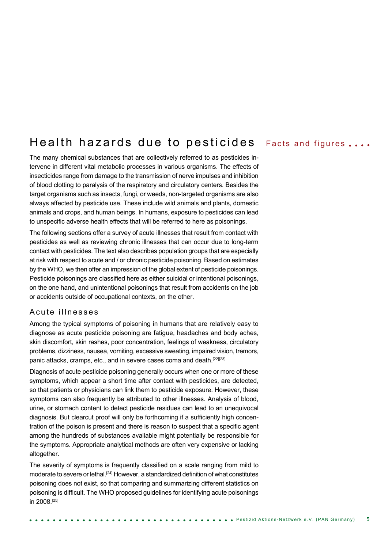# Health hazards due to pesticides

The many chemical substances that are collectively referred to as pesticides intervene in different vital metabolic processes in various organisms. The effects of insecticides range from damage to the transmission of nerve impulses and inhibition of blood clotting to paralysis of the respiratory and circulatory centers. Besides the target organisms such as insects, fungi, or weeds, non-targeted organisms are also always affected by pesticide use. These include wild animals and plants, domestic animals and crops, and human beings. In humans, exposure to pesticides can lead to unspecific adverse health effects that will be referred to here as poisonings.

The following sections offer a survey of acute illnesses that result from contact with pesticides as well as reviewing chronic illnesses that can occur due to long-term contact with pesticides. The text also describes population groups that are especially at risk with respect to acute and / or chronic pesticide poisoning. Based on estimates by the WHO, we then offer an impression of the global extent of pesticide poisonings. Pesticide poisonings are classified here as either suicidal or intentional poisonings, on the one hand, and unintentional poisonings that result from accidents on the job or accidents outside of occupational contexts, on the other.

#### A cute illnesses

Among the typical symptoms of poisoning in humans that are relatively easy to diagnose as acute pesticide poisoning are fatigue, headaches and body aches, skin discomfort, skin rashes, poor concentration, feelings of weakness, circulatory problems, dizziness, nausea, vomiting, excessive sweating, impaired vision, tremors, panic attacks, cramps, etc., and in severe cases coma and death.<sup>[22][23]</sup>

Diagnosis of acute pesticide poisoning generally occurs when one or more of these symptoms, which appear a short time after contact with pesticides, are detected, so that patients or physicians can link them to pesticide exposure. However, these symptoms can also frequently be attributed to other illnesses. Analysis of blood, urine, or stomach content to detect pesticide residues can lead to an unequivocal diagnosis. But clearcut proof will only be forthcoming if a sufficiently high concentration of the poison is present and there is reason to suspect that a specific agent among the hundreds of substances available might potentially be responsible for the symptoms. Appropriate analytical methods are often very expensive or lacking altogether.

The severity of symptoms is frequently classified on a scale ranging from mild to moderate to severe or lethal.<sup>[24]</sup> However, a standardized definition of what constitutes poisoning does not exist, so that comparing and summarizing different statistics on poisoning is difficult. The WHO proposed guidelines for identifying acute poisonings in 2008.[25]

### Facts and figures . . . .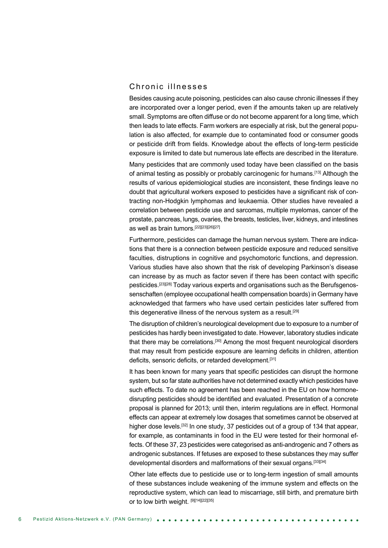### Chronic illnesses

Besides causing acute poisoning, pesticides can also cause chronic illnesses if they are incorporated over a longer period, even if the amounts taken up are relatively small. Symptoms are often diffuse or do not become apparent for a long time, which then leads to late effects. Farm workers are especially at risk, but the general population is also affected, for example due to contaminated food or consumer goods or pesticide drift from fields. Knowledge about the effects of long-term pesticide exposure is limited to date but numerous late effects are described in the literature.

Many pesticides that are commonly used today have been classified on the basis of animal testing as possibly or probably carcinogenic for humans.[13] Although the results of various epidemiological studies are inconsistent, these findings leave no doubt that agricultural workers exposed to pesticides have a significant risk of contracting non-Hodgkin lymphomas and leukaemia. Other studies have revealed a correlation between pesticide use and sarcomas, multiple myelomas, cancer of the prostate, pancreas, lungs, ovaries, the breasts, testicles, liver, kidneys, and intestines as well as brain tumors.[22][23][26][27]

Furthermore, pesticides can damage the human nervous system. There are indications that there is a connection between pesticide exposure and reduced sensitive faculties, distruptions in cognitive and psychomotoric functions, and depression. Various studies have also shown that the risk of developing Parkinson's disease can increase by as much as factor seven if there has been contact with specific pesticides.[23][28] Today various experts and organisations such as the Berufsgenossenschaften (employee occupational health compensation boards) in Germany have acknowledged that farmers who have used certain pesticides later suffered from this degenerative illness of the nervous system as a result.<sup>[29]</sup>

The disruption of children's neurological development due to exposure to a number of pesticides has hardly been investigated to date. However, laboratory studies indicate that there may be correlations.<sup>[30]</sup> Among the most frequent neurological disorders that may result from pesticide exposure are learning deficits in children, attention deficits, sensoric deficits, or retarded development.<sup>[31]</sup>

It has been known for many years that specific pesticides can disrupt the hormone system, but so far state authorities have not determined exactly which pesticides have such effects. To date no agreement has been reached in the EU on how hormonedisrupting pesticides should be identified and evaluated. Presentation of a concrete proposal is planned for 2013; until then, interim regulations are in effect. Hormonal effects can appear at extremely low dosages that sometimes cannot be observed at higher dose levels.<sup>[32]</sup> In one study, 37 pesticides out of a group of 134 that appear, for example, as contaminants in food in the EU were tested for their hormonal effects. Of these 37, 23 pesticides were categorised as anti-androgenic and 7 others as androgenic substances. If fetuses are exposed to these substances they may suffer developmental disorders and malformations of their sexual organs.<sup>[33][34]</sup>

Other late effects due to pesticide use or to long-term ingestion of small amounts of these substances include weakening of the immune system and effects on the reproductive system, which can lead to miscarriage, still birth, and premature birth or to low birth weight. [9][14][22][35]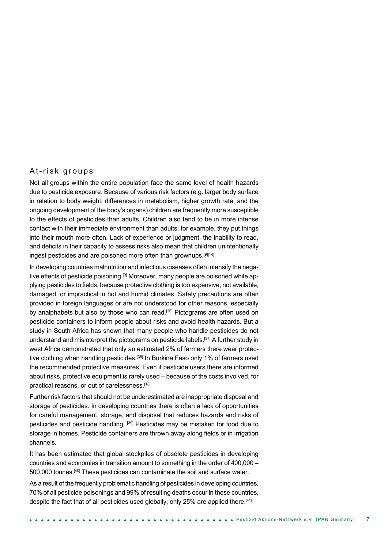#### At-risk groups

Not all groups within the entire population face the same level of health hazards due to pesticide exposure. Because of various risk factors (e.g. larger body surface in relation to body weight, differences in metabolism, higher growth rate, and the ongoing development of the body's organs) children are frequently more susceptible to the effects of pesticides than adults. Children also tend to be in more intense contact with their immediate environment than adults; for example, they put things into their mouth more often. Lack of experience or judgment, the inability to read, and deficits in their capacity to assess risks also mean that children unintentionally ingest pesticides and are poisoned more often than grownups.<sup>[9][14]</sup>

In developing countries malnutrition and infectious diseases often intensify the negative effects of pesticide poisoning.<sup>[9]</sup> Moreover, many people are poisoned while applying pesticides to fields, because protective clothing is too expensive, not available, damaged, or impractical in hot and humid climates. Safety precautions are often provided in foreign languages or are not understood for other reasons, especially by analphabets but also by those who can read.<sup>[36]</sup> Pictograms are often used on pesticide containers to inform people about risks and avoid health hazards. But a study in South Africa has shown that many people who handle pesticides do not understand and misinterpret the pictograms on pesticide labels.<sup>[37]</sup> A further study in west Africa demonstrated that only an estimated 2% of farmers there wear protective clothing when handling pesticides.<sup>[38]</sup> In Burkina Faso only 1% of farmers used the recommended protective measures. Even if pesticide users there are informed about risks, protective equipment is rarely used – because of the costs involved, for practical reasons, or out of carelessness.[18]

Further risk factors that should not be underestimated are inappropriate disposal and storage of pesticides. In developing countries there is often a lack of opportunities for careful management, storage, and disposal that reduces hazards and risks of pesticides and pesticide handling. [39] Pesticides may be mistaken for food due to storage in homes. Pesticide containers are thrown away along fields or in irrigation channels.

It has been estimated that global stockpiles of obsolete pesticides in developing countries and economies in transition amount to something in the order of 400,000 – 500,000 tonnes.<sup>[40]</sup> These pesticides can contaminate the soil and surface water.

As a result of the frequently problematic handling of pesticides in developing countries, 70% of all pesticide poisonings and 99% of resulting deaths occur in these countries, despite the fact that of all pesticides used globally, only 25% are applied there.<sup>[41]</sup>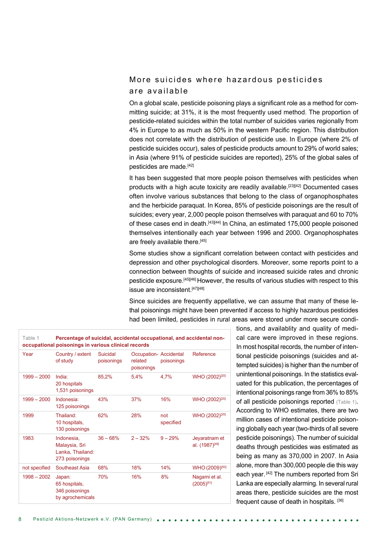## More suicides where hazardous pesticides are available

On a global scale, pesticide poisoning plays a significant role as a method for committing suicide; at 31%, it is the most frequently used method. The proportion of pesticide-related suicides within the total number of suicides varies regionally from 4% in Europe to as much as 50% in the western Pacific region. This distribution does not correlate with the distribution of pesticide use. In Europe (where 2% of pesticide suicides occur), sales of pesticide products amount to 29% of world sales; in Asia (where 91% of pesticide suicides are reported), 25% of the global sales of pesticides are made.[42]

It has been suggested that more people poison themselves with pesticides when products with a high acute toxicity are readily available.<sup>[23][42]</sup> Documented cases often involve various substances that belong to the class of organophosphates and the herbicide paraquat. In Korea, 85% of pesticide poisonings are the result of suicides; every year, 2,000 people poison themselves with paraquat and 60 to 70% of these cases end in death.<sup>[43][44]</sup> In China, an estimated 175,000 people poisoned themselves intentionally each year between 1996 and 2000. Organophosphates are freely available there.<sup>[45]</sup>

Some studies show a significant correlation between contact with pesticides and depression and other psychological disorders. Moreover, some reports point to a connection between thoughts of suicide and increased suicide rates and chronic pesticide exposure.[45][46] However, the results of various studies with respect to this issue are inconsistent.[47][48]

Since suicides are frequently appellative, we can assume that many of these lethal poisonings might have been prevented if access to highly hazardous pesticides had been limited, pesticides in rural areas were stored under more secure condi-

| Table 1<br>Percentage of suicidal, accidental occupational, and accidental non-<br>occupational poisonings in various clinical records |                                                                   |                        |                                                |                  |                                             |
|----------------------------------------------------------------------------------------------------------------------------------------|-------------------------------------------------------------------|------------------------|------------------------------------------------|------------------|---------------------------------------------|
| Year                                                                                                                                   | Country / extent<br>of study                                      | Suicidal<br>poisonings | Occupation-Accidental<br>related<br>poisonings | poisonings       | Reference                                   |
| $1999 - 2000$                                                                                                                          | India:<br>20 hospitals<br>1,531 poisonings                        | 85,2%                  | 5,4%                                           | 4.7%             | WHO (2002) <sup>[20]</sup>                  |
| $1999 - 2000$                                                                                                                          | Indonesia:<br>125 poisonings                                      | 43%                    | 37%                                            | 16%              | WHO (2002) <sup>[20]</sup>                  |
| 1999                                                                                                                                   | Thailand <sup>-</sup><br>10 hospitals,<br>130 poisonings          | 62%                    | 28%                                            | not<br>specified | WHO (2002) <sup>[20]</sup>                  |
| 1983                                                                                                                                   | Indonesia.<br>Malaysia, Sri<br>Lanka, Thailand:<br>273 poisonings | $36 - 68%$             | $2 - 32%$                                      | $9 - 29%$        | Jeyaratnam et<br>al. (1987) <sup>[49]</sup> |
| not specified                                                                                                                          | Southeast Asia                                                    | 68%                    | 18%                                            | 14%              | WHO (2009) <sup>[50]</sup>                  |
| $1998 - 2002$                                                                                                                          | Japan:<br>65 hospitals,<br>346 poisonings<br>by agrochemicals     | 70%                    | 16%                                            | 8%               | Nagami et al.<br>$(2005)^{[51]}$            |

tions, and availablity and quality of medical care were improved in these regions. In most hospital records, the number of intentional pesticide poisonings (suicides and attempted suicides) is higher than the number of unintentional poisonings. In the statistics evaluated for this publication, the percentages of intentional poisonings range from 36% to 85% of all pesticide poisonings reported (Table 1). According to WHO estimates, there are two million cases of intentional pesticide poisoning globally each year (two-thirds of all severe pesticide poisonings). The number of suicidal deaths through pesticides was estimated as being as many as 370,000 in 2007. In Asia alone, more than 300,000 people die this way each year. [42] The numbers reported from Sri Lanka are especially alarming. In several rural areas there, pesticide suicides are the most frequent cause of death in hospitals. [36]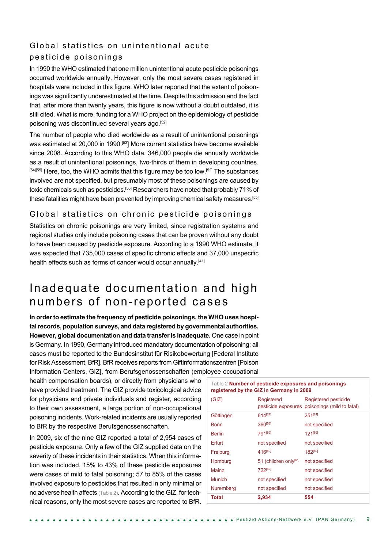# Global statistics on unintentional acute pesticide poisonings

In 1990 the WHO estimated that one million unintentional acute pesticide poisonings occurred worldwide annually. However, only the most severe cases registered in hospitals were included in this figure. WHO later reported that the extent of poisonings was significantly underestimated at the time. Despite this admission and the fact that, after more than twenty years, this figure is now without a doubt outdated, it is still cited. What is more, funding for a WHO project on the epidemiology of pesticide poisoning was discontinued several years ago.[52]

The number of people who died worldwide as a result of unintentional poisonings was estimated at 20,000 in 1990.<sup>[53]</sup> More current statistics have become available since 2008. According to this WHO data, 346,000 people die annually worldwide as a result of unintentional poisonings, two-thirds of them in developing countries. [54][55] Here, too, the WHO admits that this figure may be too low.<sup>[52]</sup> The substances involved are not specified, but presumably most of these poisonings are caused by toxic chemicals such as pesticides.<sup>[56]</sup> Researchers have noted that probably 71% of these fatalities might have been prevented by improving chemical safety measures.[55]

### Global statistics on chronic pesticide poisonings

Statistics on chronic poisonings are very limited, since registration systems and regional studies only include poisoning cases that can be proven without any doubt to have been caused by pesticide exposure. According to a 1990 WHO estimate, it was expected that 735,000 cases of specific chronic effects and 37,000 unspecific health effects such as forms of cancer would occur annually.<sup>[41]</sup>

# Inadequate documentation and high numbers of non-reported cases

In order to estimate the frequency of pesticide poisonings, the WHO uses hospi**tal records, population surveys, and data registered by governmental authorities. However, global documentation and data transfer is inadequate.** One case in point is Germany. In 1990, Germany introduced mandatory documentation of poisoning; all cases must be reported to the Bundesinstitut für Risikobewertung [Federal Institute for Risk Assessment, BfR]. BfR receives reports from Giftinformationszentren [Poison Information Centers, GIZ], from Berufsgenossenschaften (employee occupational

health compensation boards), or directly from physicians who have provided treatment. The GIZ provide toxicological advice for physicians and private individuals and register, according to their own assessment, a large portion of non-occupational poisoning incidents. Work-related incidents are usually reported to BfR by the respective Berufsgenossenschaften.

In 2009, six of the nine GIZ reported a total of 2,954 cases of pesticide exposure. Only a few of the GIZ supplied data on the severity of these incidents in their statistics. When this information was included, 15% to 43% of these pesticide exposures were cases of mild to fatal poisoning; 57 to 85% of the cases involved exposure to pesticides that resulted in only minimal or no adverse health affects (Table 2). According to the GIZ, for technical reasons, only the most severe cases are reported to BfR.

| Table 2 Number of pesticide exposures and poisonings<br>registered by the GIZ in Germany in 2009 |                       |                                                                        |  |  |
|--------------------------------------------------------------------------------------------------|-----------------------|------------------------------------------------------------------------|--|--|
| (GIZ)                                                                                            | Registered            | Registered pesticide<br>pesticide exposures poisonings (mild to fatal) |  |  |
| Göttingen                                                                                        | 614[24]               | 251[24]                                                                |  |  |
| <b>Bonn</b>                                                                                      | 360[58]               | not specified                                                          |  |  |
| <b>Berlin</b>                                                                                    | 791[59]               | 121[59]                                                                |  |  |
| Erfurt                                                                                           | not specified         | not specified                                                          |  |  |
| Freiburg                                                                                         | 416[60]               | 182[60]                                                                |  |  |
| Homburg                                                                                          | 51 (children only[61] | not specified                                                          |  |  |
| Mainz                                                                                            | 722[62]               | not specified                                                          |  |  |
| <b>Munich</b>                                                                                    | not specified         | not specified                                                          |  |  |
| Nuremberg                                                                                        | not specified         | not specified                                                          |  |  |
| Total                                                                                            | 2,934                 | 554                                                                    |  |  |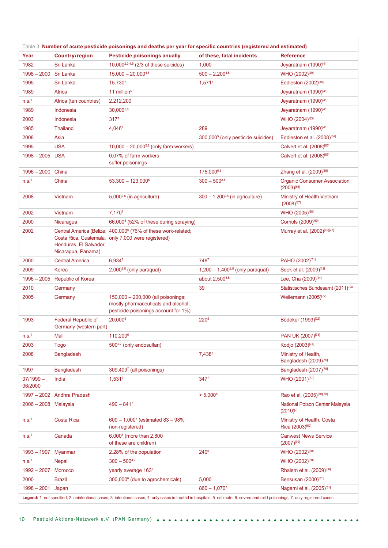| Table 3 Number of acute pesticide poisonings and deaths per year for specific countries (registered and estimated) |                                                      |                                                                                                                                                                                     |                                                |                                                          |
|--------------------------------------------------------------------------------------------------------------------|------------------------------------------------------|-------------------------------------------------------------------------------------------------------------------------------------------------------------------------------------|------------------------------------------------|----------------------------------------------------------|
| Year                                                                                                               | Country/region                                       | Pesticide poisonings anually                                                                                                                                                        | of these, fatal incidents                      | <b>Reference</b>                                         |
| 1982                                                                                                               | Sri Lanka                                            | 10,000 <sup>2,3,4,5</sup> (2/3 of these suicides)                                                                                                                                   | 1,000                                          | Jeyaratnam (1990)[41]                                    |
| $1998 - 2000$                                                                                                      | Sri Lanka                                            | $15.000 - 20.000^{4.5}$                                                                                                                                                             | $500 - 2,200^{4,5}$                            | WHO (2002) <sup>[20]</sup>                               |
| 1995                                                                                                               | Sri Lanka                                            | 15.7307                                                                                                                                                                             | $1,571^7$                                      | Eddleston (2002)[36]                                     |
| 1989                                                                                                               | Africa                                               | 11 million <sup>5,6</sup>                                                                                                                                                           |                                                | Jeyaratnam (1990)[41]                                    |
| n.s. <sup>1</sup>                                                                                                  | Africa (ten countries)                               | 2.212,200                                                                                                                                                                           |                                                | Jeyaratnam (1990)[41]                                    |
| 1989                                                                                                               | Indonesia                                            | 30,0005,6                                                                                                                                                                           |                                                | Jeyaratnam (1990)[41]                                    |
| 2003                                                                                                               | Indonesia                                            | 317 <sup>7</sup>                                                                                                                                                                    |                                                | WHO (2004) <sup>[63]</sup>                               |
| 1985                                                                                                               | <b>Thailand</b>                                      | 4,0467                                                                                                                                                                              | 289                                            | Jeyaratnam (1990)[41]                                    |
| 2008                                                                                                               | Asia                                                 |                                                                                                                                                                                     | 300,000 <sup>5</sup> (only pesticide suicides) | Eddleston et al. (2008) <sup>[64]</sup>                  |
| 1995                                                                                                               | <b>USA</b>                                           | $10,000 - 20,000^{5,2}$ (only farm workers)                                                                                                                                         |                                                | Calvert et al. (2008) <sup>[65]</sup>                    |
| 1998 - 2005 USA                                                                                                    |                                                      | 0,07% of farm workers<br>suffer poisonings                                                                                                                                          |                                                | Calvert et al. (2008)[65]                                |
| 1996 - 2000 China                                                                                                  |                                                      |                                                                                                                                                                                     | 175,0005,3                                     | Zhang et al. (2009)[45]                                  |
| n.s. <sup>1</sup>                                                                                                  | China                                                | $53,300 - 123,000^5$                                                                                                                                                                | $300 - 500^{2,5}$                              | <b>Organic Consumer Association</b><br>$(2003)^{[66]}$   |
| 2008                                                                                                               | Vietnam                                              | $5,000^{2,5}$ (in agriculture)                                                                                                                                                      | $300 - 1,200^{2,5}$ (in agriculture)           | Ministry of Health Vietnam<br>$(2008)^{[67]}$            |
| 2002                                                                                                               | Vietnam                                              | 7.1707                                                                                                                                                                              |                                                | WHO (2005) <sup>[68]</sup>                               |
| 2000                                                                                                               | Nicaragua                                            | 66,000 <sup>5</sup> (52% of these during spraying)                                                                                                                                  |                                                | Corriols (2009) <sup>[69]</sup>                          |
| 2002                                                                                                               | Honduras, El Salvador,<br>Nicaragua, Panama)         | Central America (Belize, 400,000 <sup>5</sup> (76% of these work-related;<br>Costa Rica, Guatemala, only 7,000 were registered)                                                     |                                                | Murray et al. (2002) <sup>[70][27]</sup>                 |
| 2000                                                                                                               | <b>Central America</b>                               | 6,9347                                                                                                                                                                              | 7487                                           | PAHO (2002) <sup>[71]</sup>                              |
| 2009                                                                                                               | Korea                                                | $2,000^{3,5}$ (only paraquat)                                                                                                                                                       | $1,200 - 1,400^{3,5}$ (only paraquat)          | Seok et al. (2009) <sup>[43]</sup>                       |
| $1996 - 2005$                                                                                                      | <b>Republic of Korea</b>                             |                                                                                                                                                                                     | about 2,500 <sup>3,5</sup>                     | Lee, Cha (2009)[44]                                      |
| 2010                                                                                                               | Germany                                              |                                                                                                                                                                                     | 39                                             | Statistisches Bundesamt (2011) <sup>72a</sup>            |
| 2005                                                                                                               | Germany                                              | 150,000 - 200,000 (all poisonings;<br>mostly pharmaceuticals and alcohol,<br>pesticide poisonings account for 1%)                                                                   |                                                | Weilemann (2005) <sup>[72]</sup>                         |
| 1993                                                                                                               | <b>Federal Republic of</b><br>Germany (western part) | 20,000 <sup>5</sup>                                                                                                                                                                 | 220 <sup>5</sup>                               | Bödeker (1993) <sup>[22]</sup>                           |
| n.S. <sup>1</sup>                                                                                                  | Mali                                                 | 110,200 <sup>5</sup>                                                                                                                                                                |                                                | PAN UK (2007) <sup>[73]</sup>                            |
| 2003                                                                                                               | <b>Togo</b>                                          | 500 <sup>2,7</sup> (only endosulfan)                                                                                                                                                |                                                | Kodjo (2003) <sup>[74]</sup>                             |
| 2008                                                                                                               | <b>Bangladesh</b>                                    |                                                                                                                                                                                     | 7,4387                                         | Ministry of Health,<br>Bangladesh (2009) <sup>[75]</sup> |
| 1997                                                                                                               | <b>Bangladesh</b>                                    | 309,4097 (all poisonings)                                                                                                                                                           |                                                | Bangladesh (2007) <sup>[76]</sup>                        |
| 07/1999 -<br>06/2000                                                                                               | India                                                | 1,5317                                                                                                                                                                              | 3477                                           | WHO (2001) <sup>[77]</sup>                               |
|                                                                                                                    | 1997 - 2002 Andhra Pradesh                           |                                                                                                                                                                                     | $> 5,000^5$                                    | Rao et al. (2005)[50][78]                                |
| 2006 - 2008 Malaysia                                                                                               |                                                      | $490 - 841^7$                                                                                                                                                                       |                                                | National Poison Center Malaysia<br>$(2010)^{[7]}$        |
| n.S. <sup>1</sup>                                                                                                  | Costa Rica                                           | $600 - 1,000^7$ (estimated 83 - 98%<br>non-registered)                                                                                                                              |                                                | Ministry of Health, Costa<br>Rica (2003) <sup>[52]</sup> |
| n.S. <sup>1</sup>                                                                                                  | Canada                                               | 6,000 <sup>5</sup> (more than 2,800<br>of these are children)                                                                                                                       |                                                | <b>Canwest News Service</b><br>$(2007)^{[79]}$           |
| $1993 - 1997$                                                                                                      | Myanmar                                              | 2.28% of the population                                                                                                                                                             | 240 <sup>5</sup>                               | WHO (2002) <sup>[20]</sup>                               |
| n.s. <sup>1</sup>                                                                                                  | <b>Nepal</b>                                         | $300 - 500^{4.7}$                                                                                                                                                                   |                                                | WHO (2002) <sup>[20]</sup>                               |
| $1992 - 2007$                                                                                                      | Morocco                                              | yearly average 1637                                                                                                                                                                 |                                                | Rhalem et al. (2009) <sup>[80]</sup>                     |
| 2000                                                                                                               | <b>Brazil</b>                                        | 300,000 <sup>6</sup> (due to agrochemicals)                                                                                                                                         | 5,000                                          | Bensusan (2000) <sup>[81]</sup>                          |
| $1998 - 2001$                                                                                                      | Japan                                                |                                                                                                                                                                                     | $860 - 1,070^7$                                | Nagami et al. (2005) <sup>[51]</sup>                     |
|                                                                                                                    |                                                      | Legend: 1. not specified, 2. unintentional cases, 3. intentional cases, 4. only cases in treated in hospitals, 5. estimate, 6. severe and mild poisonings, 7. only registered cases |                                                |                                                          |

 $\sim$  $\sim$   $^{\circ}$ 

 $\sim$ 

**Contract**  $\sim$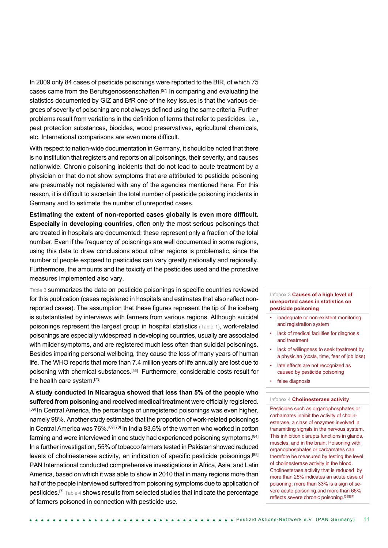In 2009 only 84 cases of pesticide poisonings were reported to the BfR, of which 75 cases came from the Berufsgenossenschaften.<sup>[57]</sup> In comparing and evaluating the statistics documented by GIZ and BfR one of the key issues is that the various degrees of severity of poisoning are not always defined using the same criteria. Further problems result from variations in the definition of terms that refer to pesticides, i.e., pest protection substances, biocides, wood preservatives, agricultural chemicals, etc. International comparisons are even more difficult.

With respect to nation-wide documentation in Germany, it should be noted that there is no institution that registers and reports on all poisonings, their severity, and causes nationwide. Chronic poisoning incidents that do not lead to acute treatment by a physician or that do not show symptoms that are attributed to pesticide poisoning are presumably not registered with any of the agencies mentioned here. For this reason, it is difficult to ascertain the total number of pesticide poisoning incidents in Germany and to estimate the number of unreported cases.

**Estimating the extent of non-reported cases globally is even more difficult. Especially in developing countries,** often only the most serious poisonings that are treated in hospitals are documented; these represent only a fraction of the total number. Even if the frequency of poisonings are well documented in some regions, using this data to draw conclusions about other regions is problematic, since the number of people exposed to pesticides can vary greatly nationally and regionally. Furthermore, the amounts and the toxicity of the pesticides used and the protective measures implemented also vary.

Table 3 summarizes the data on pesticide poisonings in specific countries reviewed for this publication (cases registered in hospitals and estimates that also reflect nonreported cases). The assumption that these figures represent the tip of the iceberg is substantiated by interviews with farmers from various regions. Although suicidal poisonings represent the largest group in hospital statistics (Table 1), work-related poisonings are especially widespread in developing countries, usually are associated with milder symptoms, and are registered much less often than suicidal poisonings. Besides impairing personal wellbeing, they cause the loss of many years of human life. The WHO reports that more than 7.4 million years of life annually are lost due to poisoning with chemical substances.<sup>[55]</sup> Furthermore, considerable costs result for the health care system.[73]

**A study conducted in Nicaragua showed that less than 5% of the people who suffered from poisoning and received medical treatment** were officially registered. [69] In Central America, the percentage of unregistered poisonings was even higher, namely 98%. Another study estimated that the proportion of work-related poisonings in Central America was 76%.<sup>[69][70]</sup> In India 83.6% of the women who worked in cotton farming and were interviewed in one study had experienced poisoning symptoms.<sup>[84]</sup> In a further investigation, 55% of tobacco farmers tested in Pakistan showed reduced levels of cholinesterase activity, an indication of specific pesticide poisonings.[85] PAN International conducted comprehensive investigations in Africa, Asia, and Latin America, based on which it was able to show in 2010 that in many regions more than half of the people interviewed suffered from poisoning symptoms due to application of pesticides.[7] Table 4 shows results from selected studies that indicate the percentage of farmers poisoned in connection with pesticide use.

#### Infobox 3 **Causes of a high level of unreported cases in statistics on pesticide poisoning**

- inadequate or non-existent monitoring and registration system
- lack of medical facilities for diagnosis and treatment
- lack of willingness to seek treatment by a physician (costs, time, fear of job loss)
- late effects are not recognized as caused by pesticide poisoning
- false diagnosis

#### Infobox 4 **Cholinesterase activity**

Pesticides such as organophosphates or carbamates inhibit the activity of cholinesterase, a class of enzymes involved in transmitting signals in the nervous system. This inhibition disrupts functions in glands, muscles, and in the brain. Poisoning with organophosphates or carbamates can therefore be measured by testing the level of cholinesterase activity in the blood. Cholinesterase activity that is reduced by more than 25% indicates an acute case of poisoning; more than 33% is a sign of severe acute poisoning,and more than 66% reflects severe chronic poisoning.[22][87]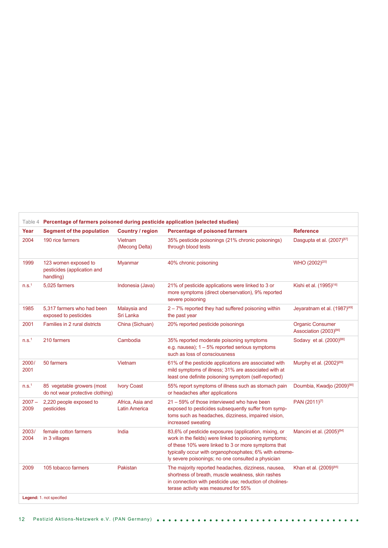| Year              | <b>Segment of the population</b>                                 | Country / region                         | <b>Percentage of poisoned farmers</b>                                                                                                                                                                                                                                                   | <b>Reference</b>                                              |
|-------------------|------------------------------------------------------------------|------------------------------------------|-----------------------------------------------------------------------------------------------------------------------------------------------------------------------------------------------------------------------------------------------------------------------------------------|---------------------------------------------------------------|
| 2004              | 190 rice farmers                                                 | Vietnam<br>(Mecong Delta)                | 35% pesticide poisonings (21% chronic poisonings)<br>through blood tests                                                                                                                                                                                                                | Dasgupta et al. (2007) <sup>[87]</sup>                        |
| 1999              | 123 women exposed to<br>pesticides (application and<br>handling) | Myanmar                                  | 40% chronic poisoning                                                                                                                                                                                                                                                                   | WHO (2002) <sup>[20]</sup>                                    |
| n.s. <sup>1</sup> | 5.025 farmers                                                    | Indonesia (Java)                         | 21% of pesticide applications were linked to 3 or<br>more symptoms (direct oberservation), 9% reported<br>severe poisoning                                                                                                                                                              | Kishi et al. (1995)[16]                                       |
| 1985              | 5,317 farmers who had been<br>exposed to pesticides              | Malaysia and<br>Sri Lanka                | 2 - 7% reported they had suffered poisoning within<br>the past year                                                                                                                                                                                                                     | Jeyaratnam et al. (1987) <sup>[49]</sup>                      |
| 2001              | Families in 2 rural districts                                    | China (Sichuan)                          | 20% reported pesticide poisonings                                                                                                                                                                                                                                                       | <b>Organic Consumer</b><br>Association (2003) <sup>[66]</sup> |
| n.s. <sup>1</sup> | 210 farmers                                                      | Cambodia                                 | 35% reported moderate poisoning symptoms<br>e.g. nausea); $1 - 5%$ reported serious symptoms<br>such as loss of consciousness                                                                                                                                                           | Sodavy et al. (2000) <sup>[88]</sup>                          |
| 2000/<br>2001     | 50 farmers                                                       | Vietnam                                  | 61% of the pesticide applications are associated with<br>mild symptoms of illness; 31% are associated with at<br>least one definite poisoning symptom (self-reported)                                                                                                                   | Murphy et al. (2002) <sup>[89]</sup>                          |
| n.s. <sup>1</sup> | 85 vegetable growers (most<br>do not wear protective clothing)   | <b>Ivory Coast</b>                       | 55% report symptoms of illness such as stomach pain<br>or headaches after applications                                                                                                                                                                                                  | Doumbia, Kwadjo (2009) <sup>[90]</sup>                        |
| $2007 -$<br>2009  | 2,220 people exposed to<br>pesticides                            | Africa, Asia and<br><b>Latin America</b> | 21 - 59% of those interviewed who have been<br>exposed to pesticides subsequently suffer from symp-<br>toms such as headaches, dizziness, impaired vision,<br>increased sweating                                                                                                        | PAN (2011) <sup>[7]</sup>                                     |
| 2003/<br>2004     | female cotton farmers<br>in 3 villages                           | India                                    | 83,6% of pesticide exposures (application, mixing, or<br>work in the fields) were linked to poisoning symptoms;<br>of these 10% were linked to 3 or more symptoms that<br>typically occur with organophosphates; 6% with extreme-<br>ly severe poisonings; no one consulted a physician | Mancini et al. (2005) <sup>[84]</sup>                         |
| 2009              | 105 tobacco farmers                                              | Pakistan                                 | The majority reported headaches, dizziness, nausea,<br>shortness of breath, muscle weakness, skin rashes<br>in connection with pesticide use; reduction of cholines-<br>terase activity was measured for 55%                                                                            | Khan et al. (2009)[85]                                        |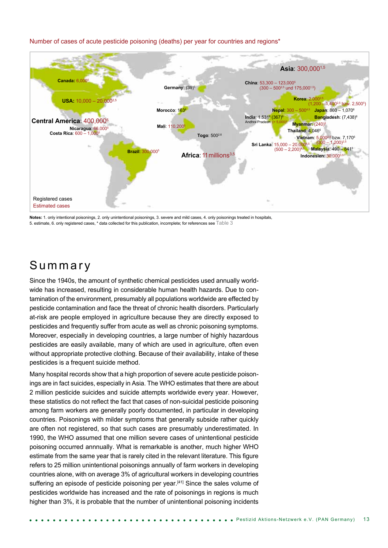#### Number of cases of acute pesticide poisoning (deaths) per year for countries and regions\*



**Notes:** 1. only intentional poisonings, 2. only unintentional poisonings, 3. severe and mild cases, 4. only poisonings treated in hospitals, 5. estimate, 6. only registered cases, \* data collected for this publication, incomplete; for references see Table 3

# S u m m a r y

Since the 1940s, the amount of synthetic chemical pesticides used annually worldwide has increased, resulting in considerable human health hazards. Due to contamination of the environment, presumably all populations worldwide are effected by pesticide contamination and face the threat of chronic health disorders. Particularly at-risk are people employed in agriculture because they are directly exposed to pesticides and frequently suffer from acute as well as chronic poisoning symptoms. Moreover, especially in developing countries, a large number of highly hazardous pesticides are easily available, many of which are used in agriculture, often even without appropriate protective clothing. Because of their availability, intake of these pesticides is a frequent suicide method.

Many hospital records show that a high proportion of severe acute pesticide poisonings are in fact suicides, especially in Asia. The WHO estimates that there are about 2 million pesticide suicides and suicide attempts worldwide every year. However, these statistics do not reflect the fact that cases of non-suicidal pesticide poisoning among farm workers are generally poorly documented, in particular in developing countries. Poisonings with milder symptoms that generally subside rather quickly are often not registered, so that such cases are presumably underestimated. In 1990, the WHO assumed that one million severe cases of unintentional pesticide poisoning occurred annnually. What is remarkable is another, much higher WHO estimate from the same year that is rarely cited in the relevant literature. This figure refers to 25 million unintentional poisonings annually of farm workers in developing countries alone, with on average 3% of agricultural workers in developing countries suffering an episode of pesticide poisoning per year.<sup>[41]</sup> Since the sales volume of pesticides worldwide has increased and the rate of poisonings in regions is much higher than 3%, it is probable that the number of unintentional poisoning incidents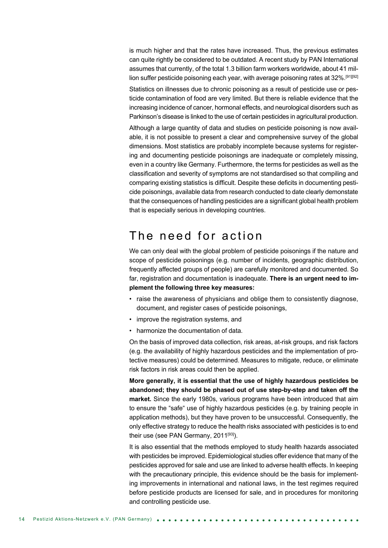is much higher and that the rates have increased. Thus, the previous estimates can quite rightly be considered to be outdated. A recent study by PAN International assumes that currently, of the total 1.3 billion farm workers worldwide, about 41 million suffer pesticide poisoning each year, with average poisoning rates at  $32\%$ .<sup>[91][92]</sup>

Statistics on illnesses due to chronic poisoning as a result of pesticide use or pesticide contamination of food are very limited. But there is reliable evidence that the increasing incidence of cancer, hormonal effects, and neurological disorders such as Parkinson's disease is linked to the use of certain pesticides in agricultural production.

Although a large quantity of data and studies on pesticide poisoning is now available, it is not possible to present a clear and comprehensive survey of the global dimensions. Most statistics are probably incomplete because systems for registering and documenting pesticide poisonings are inadequate or completely missing, even in a country like Germany. Furthermore, the terms for pesticides as well as the classification and severity of symptoms are not standardised so that compiling and comparing existing statistics is difficult. Despite these deficits in documenting pesticide poisonings, available data from research conducted to date clearly demonstate that the consequences of handling pesticides are a significant global health problem that is especially serious in developing countries.

# The need for action

We can only deal with the global problem of pesticide poisonings if the nature and scope of pesticide poisonings (e.g. number of incidents, geographic distribution, frequently affected groups of people) are carefully monitored and documented. So far, registration and documentation is inadequate. **There is an urgent need to implement the following three key measures:**

- raise the awareness of physicians and oblige them to consistently diagnose, document, and register cases of pesticide poisonings,
- improve the registration systems, and
- harmonize the documentation of data.

On the basis of improved data collection, risk areas, at-risk groups, and risk factors (e.g. the availability of highly hazardous pesticides and the implementation of protective measures) could be determined. Measures to mitigate, reduce, or eliminate risk factors in risk areas could then be applied.

**More generally, it is essential that the use of highly hazardous pesticides be abandoned; they should be phased out of use step-by-step and taken off the market.** Since the early 1980s, various programs have been introduced that aim to ensure the "safe" use of highly hazardous pesticides (e.g. by training people in application methods), but they have proven to be unsuccessful. Consequently, the only effective strategy to reduce the health risks associated with pesticides is to end their use (see PAN Germany,  $2011^{[93]}$ ).

It is also essential that the methods employed to study health hazards associated with pesticides be improved. Epidemiological studies offer evidence that many of the pesticides approved for sale and use are linked to adverse health effects. In keeping with the precautionary principle, this evidence should be the basis for implementing improvements in international and national laws, in the test regimes required before pesticide products are licensed for sale, and in procedures for monitoring and controlling pesticide use.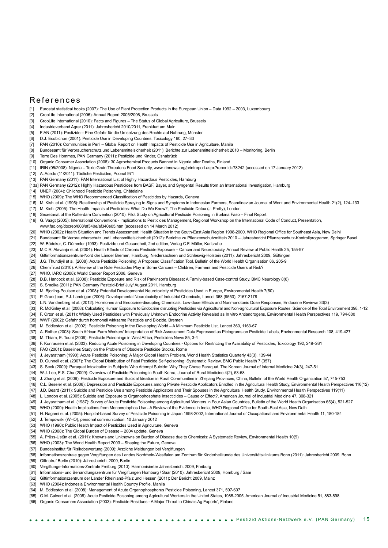#### R e fer e n c e s

- Eurostat statistical books (2007): The Use of Plant Protection Products in the European Union Data 1992 2003, Luxembourg
- [2] CropLife International (2006): Annual Report 2005/2006, Brussels
- [3] CropLife International (2010): Facts and Figures The Status of Global Agriculture, Brussels
- [4] Industrieverband Agrar (2011): Jahresbericht 2010/2011, Frankfurt am Main
- [5] FIAN (2011): Pestizide Eine Gefahr für die Umsetzung des Rechts auf Nahrung, Münster
- [6] D.J. Ecobichon (2001): Pesticide Use in Developing Countries, Toxicology 160, 27–33
- [7] PAN (2010): Communities in Peril Global Report on Health Impacts of Pesticide Use in Agriculture, Manila
- [8] Bundesamt für Verbraucherschutz und Lebensmittelsicherheit (2011): Berichte zur Lebensmittelsicherheit 2010 Monitoring, Berlin
- [9] Terre Des Hommes, PAN Germany (2011): Pestizide und Kinder, Osnabrück
- [10] Organic Consumer Association (2008): 30 Agrochemical Products Banned in Nigeria after Deaths, Finland
- [11] IRIN (05/2008): Nigeria Toxic Grain Threatens Food Security, www.irinnews.org/printreport.aspx?reportid=78242 (accessed on 17 January 2012)
- [12] A. Acedo (11/2011): Tödliche Pesticides, Poonal 971
- [13] PAN Germany (2011): PAN International List of Highly Hazardous Pesticides, Hamburg
- [13a] PAN Germany (2012): Highly Hazardous Pesticides from BASF, Bayer, and Syngenta! Results from an International Investigation, Hamburg
- [14] UNEP (2004): Childhood Pesticide Poisoning, Châtelaine
- [15] WHO (2009): The WHO Recommended Classification of Pesticides by Hazards, Geneva
- [16] M. Kishi et al. (1995): Relationship of Pesticide Spraying to Signs and Symptoms in Indonesian Farmers, Scandinavian Journal of Work and Environmental Health 21(2), 124–133
- [17] M. Kishi (2005): The Health Impacts of Pesticides: What Do We Know?, The Pesticide Detox (J. Pretty), London
- [18] Secretariat of the Rotterdam Convention (2010): Pilot Study on Agricultural Pesticide Poisoning in Burkina Faso Final Report
- [19] G. Vaagt (2005): International Conventions Implications to Pesticides Management, Regional Workshop on the International Code of Conduct, Presentation,
- www.fao.org/docrep/008/af340e/af340e05.htm (accessed on 14 March 2012)
- [20] WHO (2002): Health Situation and Trends Assessment: Health Situation in the South-East Asia Region 1998-2000, WHO Regional Office for Southeast Asia, New Delhi
- [21] Bundesamt für Verbraucherschutz und Lebensmittelsicherheit (2012): Berichte zu Pflanzenschutzmitteln 2010 Jahresbericht Pflanzenschutz-Kontrollprogramm, Springer Basel
- [22] W. Bödeker, C. Dümmler (1993): Pestizide und Gesundheit, 2nd edition, Verlag C.F. Müller, Karlsruhe
- [23] M.C.R. Alavanja et al. (2004): Health Effects of Chronic Pesticide Exposure Cancer and Neurotoxicity, Annual Review of Public Health 25, 155-97
- [24] Giftinformationszentrum-Nord der Länder Bremen, Hamburg, Niedersachsen und Schleswig-Holstein (2011): Jahresbericht 2009, Göttingen
- [25] J.G. Thundiyil et al. (2008): Acute Pesticide Poisoning: A Proposed Classification Tool, Bulletin of the World Health Organisation 86, 205-9
- [26] ChemTrust (2010): A Review of the Role Pesticides Play in Some Cancers Children, Farmers and Pesticide Users at Risk?
- [27] WHO, IARC (2008): World Cancer Report 2008, Geneva
- [28] D.B. Hancock et al. (2008): Pesticide Exposure and Risk of Parkinson's Disease: A Family-based Case-control Study, BMC Neurology 8(6)
- [29] S. Smolka (2011): PAN Germany Pestizid-Brief July/ August 2011, Hamburg
- [30] M. Bjorling-Poulsen et al. (2008): Potential Developmental Neurotoxicity of Pesticides Used in Europe, Environmental Health 7(50)
- [31] P. Grandjean, P.J. Landrigan (2006): Developmental Neurotoxicity of Industrial Chemicals, Lancet 368 (9553), 2167-2178
- [32] L.N. Vandenberg et al. (2012): Hormones and Endocrine-disrupting Chemicals: Low-dose Effects and Nonmonotonic Dose Responses, Endocrine Reviews 33(3)
- [33] R. McKinley et al. (2008): Calculating Human Exposure to Endocrine disrupting Pesticides via Agricultural and Non-agricultural Exposure Routes, Science of the Total Environment 398, 1-12 [34] F. Orton et al. (2011): Widely Used Pesticides with Previously Unknown Endocrine Activity Revealed as In vitro Antiandrogens, Environmental Health Perspectives 119, 794-800
- 
- [35] WWF (2002): Gefahr durch hormonell wirksame Pestizide und Biozide, Bremen
- [36] M. Eddleston et al. (2002): Pesticide Poisoning in the Developing World A Minimum Pesticide List, Lancet 360, 1163-67
- [37] A. Rother (2008): South African Farm Workers' Interpretation of Risk Assessment Data Expressed as Pictograms on Pesticide Labels, Environmental Research 108, 419-427
- [38] M. Thiam, E. Touni (2009): Pesticide Poisonings in West Africa, Pesticides News 85, 3-4
- [39] F. Konradsen et al. (2003): Reducing Acute Poisoning in Developing Countries Options for Restricting the Availability of Pesticides, Toxicology 192, 249-261
- [40] FAO (2001): Baselines Study on the Problem of Obsolete Pesticide Stocks, Rome
- [41] J. Jeyaratnam (1990): Acute Pesticide Poisoning: A Major Global Health Problem, World Health Statistics Quarterly 43(3), 139-44
- [42] D. Gunnell et al. (2007): The Global Distribution of Fatal Pesticide Self-poisoning: Systematic Review, BMC Public Health 7 (357)
- [43] S. Seok (2009): Paraquat Intoxication in Subjects Who Attempt Suicide: Why They Chose Paraquat, The Korean Journal of Internal Medicine 24(3), 247-51
- [44] W.J. Lee, E.S. Cha (2009): Overview of Pesticide Poisoning in South Korea, Journal of Rural Medicine 4(2), 53-58
- [45] J. Zhang et al. (2009): Pesticide Exposure and Suicidal Ideation in Rural Communities in Zhejiang Provinces, China, Bulletin of the World Health Organization 57, 745-753
- [46] C.L. Beseler et al. (2008): Depression and Pesticide Exposures among Private Pesticide Applicators Enrolled in the Agricultural Health Study, Environmental Health Perspectives 116(12)
- [47] J.D. Beard (2011): Suicide and Pesticide Use among Pesticide Applicators and Their Spouses in the Agricultural Health Study, Environmental Health Perspectives 119(11)
- [48] L. London et al. (2005): Suicide and Exposure to Organophosphate Insecticides Cause or Effect?, American Journal of Industrial Medicine 47, 308-321
- [49] J. Jeyaratnam et al. (1987): Survey of Acute Pesticide Poisoning among Agricultural Workers in Four Asian Countries, Bulletin of the World Health Organisation 65(4), 521-527
- [50] WHO (2009): Health Implications from Monocrotophos Use A Review of the Evidence in India, WHO Regional Office for South-East Asia, New Delhi
- [51] H. Nagami et al. (2005): Hospital-based Survey of Pesticide Poisoning in Japan 1998-2002, International Journal of Occupational and Environmental Health 11, 180-184
- [52] J. Tempowski (WHO), personal communication, 10 January 2012
- [53] WHO (1990): Public Health Impact of Pesticides Used in Agriculture, Geneva
- [54] WHO (2008): The Global Burden of Disease 2004 update, Geneva
- [55] A. Prüss-Ustün et al. (2011): Knowns and Unknowns on Burden of Disease due to Chemicals: A Systematic Review, Environmental Health 10(9)
- [56] WHO (2003): The World Health Report 2003 Shaping the Future, Geneva
- [57] Bundesinstitut für Risikobewertung (2009): Ärztliche Meldungen bei Vergiftungen
- [58] Informationszentrale gegen Vergiftungen des Landes Nordrhein-Westfalen am Zentrum für Kinderheilkunde des Universitätsklinikums Bonn (2011): Jahresbericht 2009, Bonn
- [59] Giftnotruf Berlin (2010): Jahresbericht 2009, Berlin
- [60] Vergiftungs-Informations-Zentrale Freiburg (2010): Harmonisierter Jahresbericht 2009, Freiburg
- [61] Informations- und Behandlungszentrum für Vergiftungen Homburg / Saar (2010): Jahresbericht 2009, Homburg / Saar
- [62] Giftinformationszentrum der Länder Rheinland-Pfalz und Hessen (2011): Der Bericht 2009, Mainz
- [63] WHO (2004): Indonesia Environmental Health Country Profile, Manila
- [64] M. Eddleston et al. (2008): Management of Acute Organophosphorus Pesticide Poisoning, Lancet 371, 597-607
- [65] G.M. Calvert et al. (2008): Acute Pesticide Poisoning among Agricultural Workers in the United States, 1985-2005, American Journal of Industrial Medicine 51, 883-898
- [66| Organic Consumers Association (2003): Pesticide Residues A Major Threat to China's Ag Exports', Finland